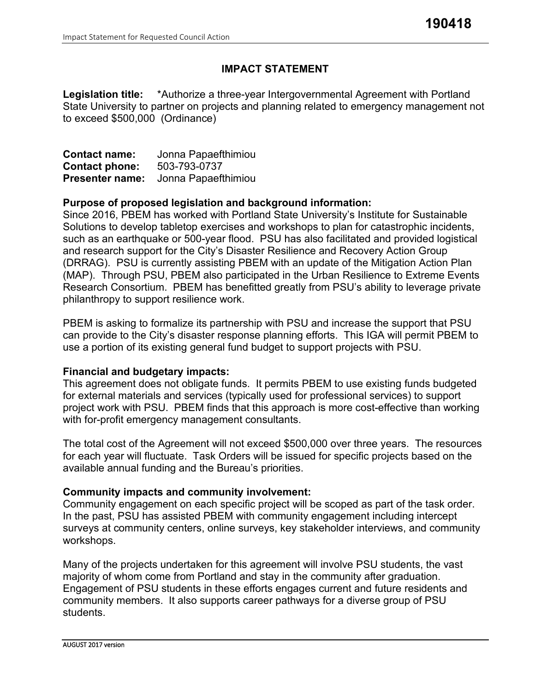# **IMPACT STATEMENT**

**Legislation title:** \*Authorize a three-year Intergovernmental Agreement with Portland State University to partner on projects and planning related to emergency management not to exceed \$500,000 (Ordinance)

| <b>Contact name:</b>   | Jonna Papaefthimiou |
|------------------------|---------------------|
| <b>Contact phone:</b>  | 503-793-0737        |
| <b>Presenter name:</b> | Jonna Papaefthimiou |

### **Purpose of proposed legislation and background information:**

Since 2016, PBEM has worked with Portland State University's Institute for Sustainable Solutions to develop tabletop exercises and workshops to plan for catastrophic incidents, such as an earthquake or 500-year flood. PSU has also facilitated and provided logistical and research support for the City's Disaster Resilience and Recovery Action Group (DRRAG). PSU is currently assisting PBEM with an update of the Mitigation Action Plan (MAP). Through PSU, PBEM also participated in the Urban Resilience to Extreme Events Research Consortium. PBEM has benefitted greatly from PSU's ability to leverage private philanthropy to support resilience work.

PBEM is asking to formalize its partnership with PSU and increase the support that PSU can provide to the City's disaster response planning efforts. This IGA will permit PBEM to use a portion of its existing general fund budget to support projects with PSU.

# **Financial and budgetary impacts:**

This agreement does not obligate funds. It permits PBEM to use existing funds budgeted for external materials and services (typically used for professional services) to support project work with PSU. PBEM finds that this approach is more cost-effective than working with for-profit emergency management consultants.

The total cost of the Agreement will not exceed \$500,000 over three years. The resources for each year will fluctuate. Task Orders will be issued for specific projects based on the available annual funding and the Bureau's priorities.

# **Community impacts and community involvement:**

Community engagement on each specific project will be scoped as part of the task order. In the past, PSU has assisted PBEM with community engagement including intercept surveys at community centers, online surveys, key stakeholder interviews, and community workshops.

Many of the projects undertaken for this agreement will involve PSU students, the vast majority of whom come from Portland and stay in the community after graduation. Engagement of PSU students in these efforts engages current and future residents and community members. It also supports career pathways for a diverse group of PSU students.